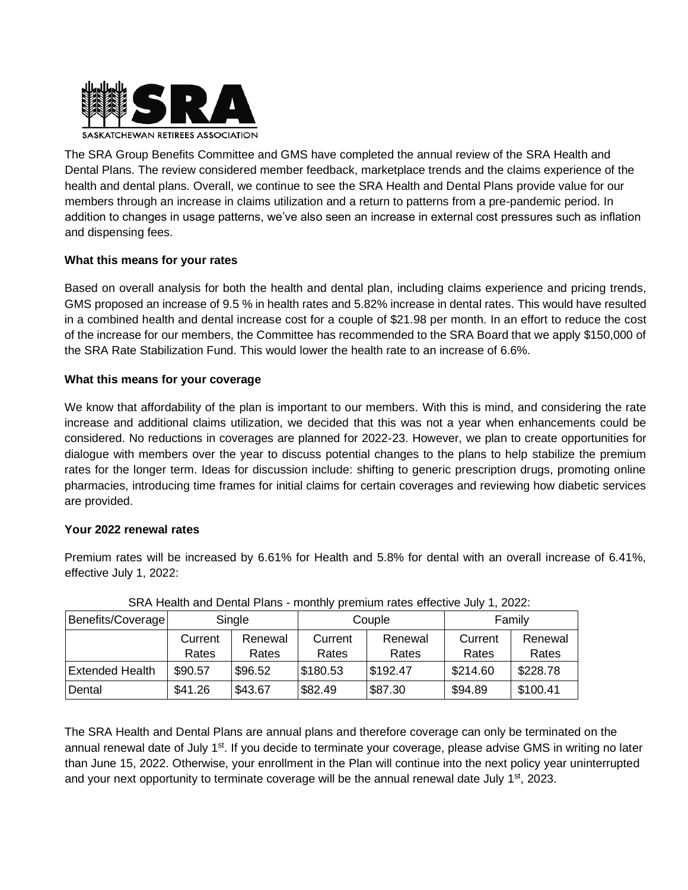

The SRA Group Benefits Committee and GMS have completed the annual review of the SRA Health and Dental Plans. The review considered member feedback, marketplace trends and the claims experience of the health and dental plans. Overall, we continue to see the SRA Health and Dental Plans provide value for our members through an increase in claims utilization and a return to patterns from a pre-pandemic period. In addition to changes in usage patterns, we've also seen an increase in external cost pressures such as inflation and dispensing fees.

## **What this means for your rates**

Based on overall analysis for both the health and dental plan, including claims experience and pricing trends, GMS proposed an increase of 9.5 % in health rates and 5.82% increase in dental rates. This would have resulted in a combined health and dental increase cost for a couple of \$21.98 per month. In an effort to reduce the cost of the increase for our members, the Committee has recommended to the SRA Board that we apply \$150,000 of the SRA Rate Stabilization Fund. This would lower the health rate to an increase of 6.6%.

## **What this means for your coverage**

We know that affordability of the plan is important to our members. With this is mind, and considering the rate increase and additional claims utilization, we decided that this was not a year when enhancements could be considered. No reductions in coverages are planned for 2022-23. However, we plan to create opportunities for dialogue with members over the year to discuss potential changes to the plans to help stabilize the premium rates for the longer term. Ideas for discussion include: shifting to generic prescription drugs, promoting online pharmacies, introducing time frames for initial claims for certain coverages and reviewing how diabetic services are provided.

## **Your 2022 renewal rates**

Premium rates will be increased by 6.61% for Health and 5.8% for dental with an overall increase of 6.41%, effective July 1, 2022:

|                        |                  |                  | . .              |                  |                  |                  |
|------------------------|------------------|------------------|------------------|------------------|------------------|------------------|
| Benefits/Coverage      | Single           |                  | Couple           |                  | Family           |                  |
|                        | Current<br>Rates | Renewal<br>Rates | Current<br>Rates | Renewal<br>Rates | Current<br>Rates | Renewal<br>Rates |
| <b>Extended Health</b> | \$90.57          | \$96.52          | \$180.53         | \$192.47         | \$214.60         | \$228.78         |
| Dental                 | \$41.26          | \$43.67          | \$82.49          | \$87.30          | \$94.89          | \$100.41         |

|  | SRA Health and Dental Plans - monthly premium rates effective July 1, 2022: |  |  |  |
|--|-----------------------------------------------------------------------------|--|--|--|
|--|-----------------------------------------------------------------------------|--|--|--|

The SRA Health and Dental Plans are annual plans and therefore coverage can only be terminated on the annual renewal date of July 1<sup>st</sup>. If you decide to terminate your coverage, please advise GMS in writing no later than June 15, 2022. Otherwise, your enrollment in the Plan will continue into the next policy year uninterrupted and your next opportunity to terminate coverage will be the annual renewal date July  $1<sup>st</sup>$ , 2023.